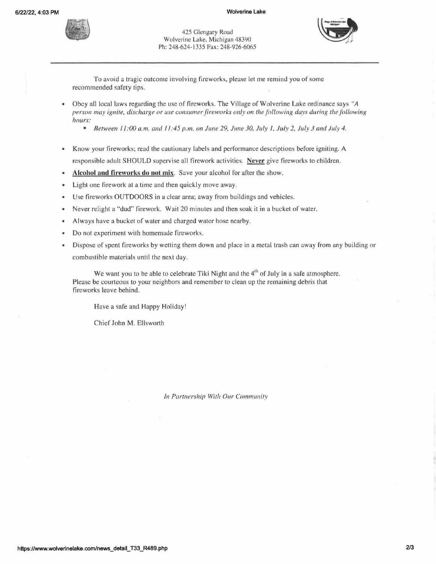

425 Glengary Road Wolverine Lake, Michigan 48390 Ph: 248-624-1335 Fax: 248-926-6065

To avoid a tragic outcome involving fireworks, please let me remind you of some recommended safety tips.

- Obey all local laws regarding the use of fireworks. The Village of Wolverine Lake ordinance says *"A person may ignite, discharge or use consumer fireworks only on the following days during the following hours:* 
	- **Between 11:00 a.m. and 11:45 p.m. on June 29, June 30, July 1, July 2, July 3 and July 4.**
- Know your fireworks; read the cautionary labels and performance descriptions before igniting. A responsible adult SHOULD supervise all firework activities. Never give fireworks to children.
- Alcohol and fireworks do not mix. Save your alcohol for after the show.
- Light one firework at a time and then quickly move away.
- Use fireworks OUTDOORS in a clear area; away from buildings and vehicles.
- Never relight a "dud" firework. Wait 20 minutes and then soak it in a bucket of water.
- Always have a bucket of water and charged water hose nearby.
- Do not experiment with homemade fireworks.
- Dispose of spent fireworks by wetting them down and place in a metal trash can away from any building or combustible materials until the next day.

We want you to be able to celebrate Tiki Night and the  $4<sup>th</sup>$  of July in a safe atmosphere. Please be courteous to your neighbors and remember to clean up the remaining debris that fireworks leave behind.

Have a safe and Happy Holiday!

Chief John M. Ellsworth

*In Partnership With Our Community*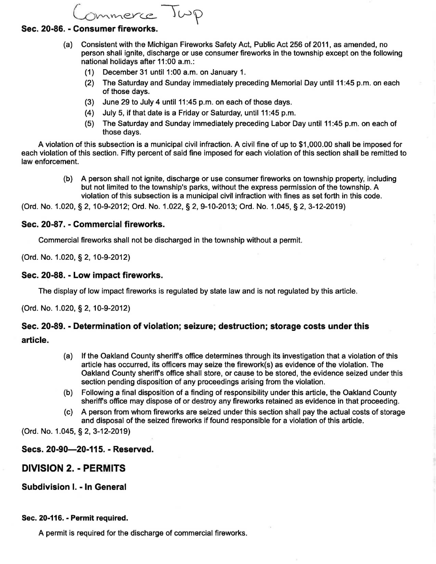mmerce Jup

### **Sec. 20-86. - Consumer fireworks.**

- (a) Consistent with the Michigan Fireworks Safety Act, Public Act 256 of 2011, as amended, no person shall ignite, discharge or use consumer fireworks in the township except on the following national holidays after 11:00 a.m.:
	- $(1)$  December 31 until 1:00 a.m. on January 1.
	- (2) The Saturday and Sunday immediately preceding Memorial Day until 11 :45 p.m. on each of those days.
	- (3) June 29 to July 4 until 11 :45 p.m. on each of those days.
	- (4) July 5, if that date is a Friday or Saturday, until 11 :45 p.m.
	- (5) The Saturday and Sunday immediately preceding Labor Day until 11:45 p.m. on each of those days.

A violation of this subsection is a municipal civil infraction. A civil fine of up to \$1,000.00 shall be imposed for each violation of this section. Fifty percent of said fine imposed for each violation of this section shall be remitted to law enforcement.

> (b) A person shall not ignite, discharge or use consumer fireworks on township property, including but not limited to the township's parks, without the express permission of the township. A violation of this subsection is a municipal civil infraction with fines as set forth in this code.

(Ord. No. 1.020, § 2, 10-9-2012; Ord. No. 1.022, § 2, 9-10-2013; Ord. No. 1.045, § 2, 3-12-2019)

### **Sec. 20-87. - Commercial fireworks.**

Commercial fireworks shall not be discharged in the township without a permit.

(Ord. No. 1.020, § 2, 1 0-9-2012)

### **Sec. 20-88. - Low impact fireworks.**

The display of low impact fireworks is regulated by state law and is not regulated by this article.

(Ord. No. 1.020, § 2, 10-9-2012)

## **Sec. 20-89. - Determination of violation; seizure; destruction; storage costs under this**

### **article.**

- (a) If the Oakland County sheriff's office determines through its investigation that a violation of this article has occurred, its officers may seize the firework(s) as evidence of the violation. The Oakland County sheriff's office shall store, or cause to be stored, the evidence seized under this section pending disposition of any proceedings arising from the violation.
- (b) Following a final disposition of a finding of responsibility under this article, the Oakland County sheriff's office may dispose of or destroy any fireworks retained as evidence in that proceeding.
- (c) A person from whom fireworks are seized under this section shall pay the actual costs of storage and disposal of the seized fireworks if found responsible for a violation of this article.

(Ord. No. 1.045, § 2, 3-12-2019)

## **Sees. 20-90-20-115.- Reserved.**

# **DIVISION 2. - PERMITS**

**Subdivision** I. - **In General** 

### **Sec. 20-116.- Permit required.**

A permit is required for the discharge of commercial fireworks.